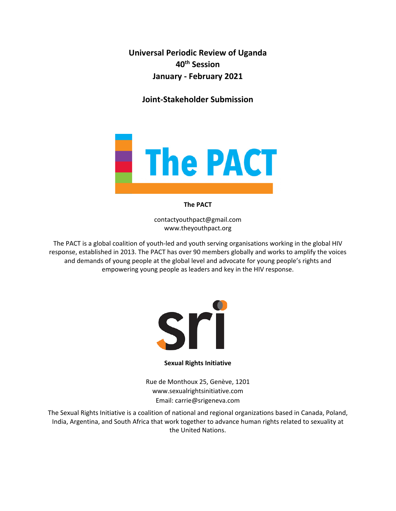**Universal Periodic Review of Uganda 40th Session January - February 2021**

**Joint-Stakeholder Submission**



**The PACT**

contactyouthpact@gmail.com www.theyouthpact.org

The PACT is <sup>a</sup> global coalition of youth-led and youth serving organisations working in the global HIV response, established in 2013. The PACT has over 90 members globally and works to amplify the voices and demands of young people at the global level and advocate for young people'<sup>s</sup> rights and empowering young people as leaders and key in the HIV response.



#### **Sexual Rights Initiative**

Rue de Monthoux 25, Genève, 1201 www.sexualrightsinitiative.com Email: carrie@srigeneva.com

The Sexual Rights Initiative is <sup>a</sup> coalition of national and regional organizations based in Canada, Poland, India, Argentina, and South Africa that work together to advance human rights related to sexuality at the United Nations.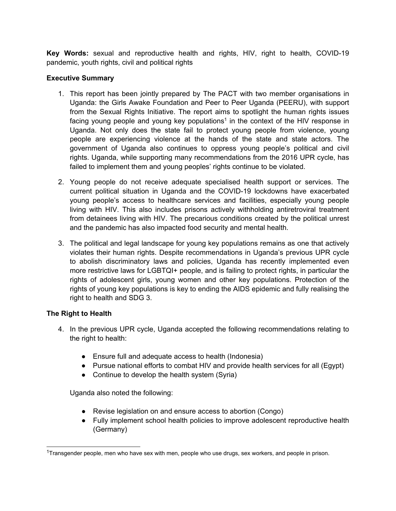**Key Words:** sexual and reproductive health and rights, HIV, right to health, COVID-19 pandemic, youth rights, civil and political rights

# **Executive Summary**

- 1. This report has been jointly prepared by The PACT with two member organisations in Uganda: the Girls Awake Foundation and Peer to Peer Uganda (PEERU), with support from the Sexual Rights Initiative. The report aims to spotlight the human rights issues facing young people and young key populations $^{\text{1}}$  in the context of the HIV response in Uganda. Not only does the state fail to protect young people from violence, young people are experiencing violence at the hands of the state and state actors. The government of Uganda also continues to oppress young people'<sup>s</sup> political and civil rights. Uganda, while supporting many recommendations from the 2016 UPR cycle, has failed to implement them and young peoples' rights continue to be violated.
- 2. Young people do not receive adequate specialised health support or services. The current political situation in Uganda and the COVID-19 lockdowns have exacerbated young people'<sup>s</sup> access to healthcare services and facilities, especially young people living with HIV. This also includes prisons actively withholding antiretroviral treatment from detainees living with HIV. The precarious conditions created by the political unrest and the pandemic has also impacted food security and mental health.
- 3. The political and legal landscape for young key populations remains as one that actively violates their human rights. Despite recommendations in Uganda'<sup>s</sup> previous UPR cycle to abolish discriminatory laws and policies, Uganda has recently implemented even more restrictive laws for LGBTQI+ people, and is failing to protect rights, in particular the rights of adolescent girls, young women and other key populations. Protection of the rights of young key populations is key to ending the AIDS epidemic and fully realising the right to health and SDG 3.

# **The Right to Health**

- 4. In the previous UPR cycle, Uganda accepted the following recommendations relating to the right to health:
	- Ensure full and adequate access to health (Indonesia)
	- $\bullet$  Pursue national efforts to combat HIV and provide health services for all (Egypt)
	- Continue to develop the health system (Syria)

Uganda also noted the following:

- Revise legislation on and ensure access to abortion (Congo)
- $\bullet$  Fully implement school health policies to improve adolescent reproductive health (Germany)

<sup>1</sup> Transgender people, men who have sex with men, people who use drugs, sex workers, and people in prison.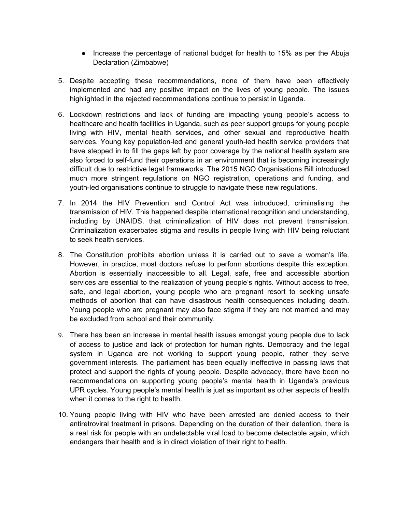● Increase the percentage of national budget for health to 15% as per the Abuja Declaration (Zimbabwe)

2

- 5. Despite accepting these recommendations, none of them have been effectively implemented and had any positive impact on the lives of young people. The issues highlighted in the rejected recommendations continue to persist in Uganda.
- 6. Lockdown restrictions and lack of funding are impacting young people'<sup>s</sup> access to healthcare and health facilities in Uganda, such as peer support groups for young people living with HIV, mental health services, and other sexual and reproductive health services. Young key population-led and general youth-led health service providers that have stepped in to fill the gaps left by poor coverage by the national health system are also forced to self-fund their operations in an environment that is becoming increasingly difficult due to restrictive legal frameworks. The 2015 NGO Organisations Bill introduced much more stringent regulations on NGO registration, operations and funding, and youth-led organisations continue to struggle to navigate these new regulations.
- 7. In 2014 the HIV Prevention and Control Act was introduced, criminalising the transmission of HIV. This happened despite international recognition and understanding, including by UNAIDS, that criminalization of HIV does not prevent transmission. Criminalization exacerbates stigma and results in people living with HIV being reluctant to seek health services.
- 8. The Constitution prohibits abortion unless it is carried out to save <sup>a</sup> woman'<sup>s</sup> life. However, in practice, most doctors refuse to perform abortions despite this exception. Abortion is essentially inaccessible to all. Legal, safe, free and accessible abortion services are essential to the realization of young people'<sup>s</sup> rights. Without access to free, safe, and legal abortion, young people who are pregnant resort to seeking unsafe methods of abortion that can have disastrous health consequences including death. Young people who are pregnant may also face stigma if they are not married and may be excluded from school and their community.
- 9. There has been an increase in mental health issues amongst young people due to lack of access to justice and lack of protection for human rights. Democracy and the legal system in Uganda are not working to support young people, rather they serve government interests. The parliament has been equally ineffective in passing laws that protect and support the rights of young people. Despite advocacy, there have been no recommendations on supporting young people'<sup>s</sup> mental health in Uganda'<sup>s</sup> previous UPR cycles. Young people'<sup>s</sup> mental health is just as important as other aspects of health when it comes to the right to health.
- 10. Young people living with HIV who have been arrested are denied access to their antiretroviral treatment in prisons. Depending on the duration of their detention, there is <sup>a</sup> real risk for people with an undetectable viral load to become detectable again, which endangers their health and is in direct violation of their right to health.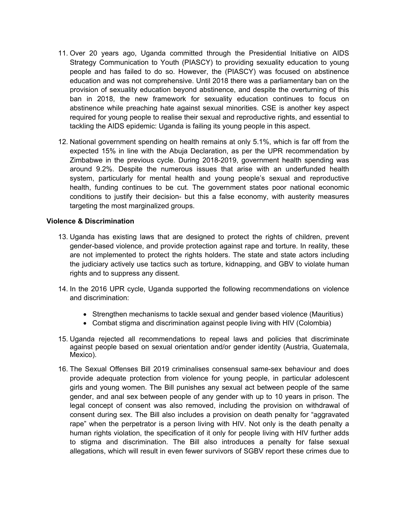- 11. Over 20 years ago, Uganda committed through the Presidential Initiative on AIDS Strategy Communication to Youth (PIASCY) to providing sexuality education to young people and has failed to do so. However, the (PIASCY) was focused on abstinence education and was not comprehensive. Until 2018 there was <sup>a</sup> parliamentary ban on the provision of sexuality education beyond abstinence, and despite the overturning of this ban in 2018, the new framework for sexuality education continues to focus on abstinence while preaching hate against sexual minorities. CSE is another key aspect required for young people to realise their sexual and reproductive rights, and essential to tackling the AIDS epidemic: Uganda is failing its young people in this aspect.
- 12. National government spending on health remains at only 5.1%, which is far off from the expected 15% in line with the Abuja Declaration, as per the UPR recommendation by Zimbabwe in the previous cycle. During 2018-2019, government health spending was around 9.2%. Despite the numerous issues that arise with an underfunded health system, particularly for mental health and young people'<sup>s</sup> sexual and reproductive health, funding continues to be cut. The government states poor national economic conditions to justify their decision- but this <sup>a</sup> false economy, with austerity measures targeting the most marginalized groups.

## **Violence & Discrimination**

- 13. Uganda has existing laws that are designed to protect the rights of children, prevent gender-based violence, and provide protection against rape and torture. In reality, these are not implemented to protect the rights holders. The state and state actors including the judiciary actively use tactics such as torture, kidnapping, and GBV to violate human rights and to suppress any dissent.
- 14. In the 2016 UPR cycle, Uganda supported the following recommendations on violence and discrimination:
	- Strengthen mechanisms to tackle sexual and gender based violence (Mauritius)
	- Combat stigma and discrimination against people living with HIV (Colombia)
- 15. Uganda rejected all recommendations to repeal laws and policies that discriminate against people based on sexual orientation and/or gender identity (Austria, Guatemala, Mexico).
- 16. The Sexual Offenses Bill 2019 criminalises consensual same-sex behaviour and does provide adequate protection from violence for young people, in particular adolescent girls and young women. The Bill punishes any sexual act between people of the same gender, and anal sex between people of any gender with up to 10 years in prison. The legal concept of consent was also removed, including the provision on withdrawal of consent during sex. The Bill also includes <sup>a</sup> provision on death penalty for "aggravated rape" when the perpetrator is <sup>a</sup> person living with HIV. Not only is the death penalty <sup>a</sup> human rights violation, the specification of it only for people living with HIV further adds to stigma and discrimination. The Bill also introduces <sup>a</sup> penalty for false sexual allegations, which will result in even fewer survivors of SGBV report these crimes due to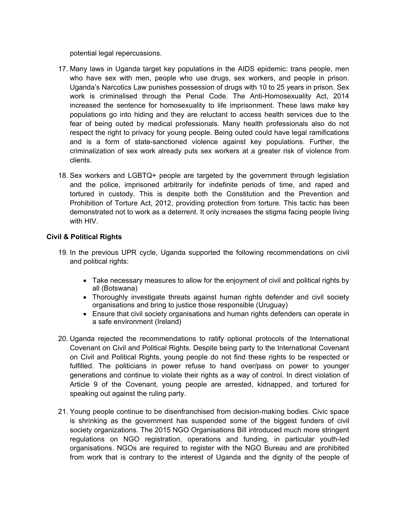potential legal repercussions.

17. Many laws in Uganda target key populations in the AIDS epidemic: trans people, men who have sex with men, people who use drugs, sex workers, and people in prison. Uganda'<sup>s</sup> Narcotics Law punishes possession of drugs with 10 to 25 years in prison. Sex work is criminalised through the Penal Code. The Anti-Homosexuality Act, 2014 increased the sentence for homosexuality to life imprisonment. These laws make key populations go into hiding and they are reluctant to access health services due to the fear of being outed by medical professionals. Many health professionals also do not respect the right to privacy for young people. Being outed could have legal ramifications and is <sup>a</sup> form of state-sanctioned violence against key populations. Further, the criminalization of sex work already puts sex workers at <sup>a</sup> greater risk of violence from clients.

4

18. Sex workers and LGBTQ+ people are targeted by the government through legislation and the police, imprisoned arbitrarily for indefinite periods of time, and raped and tortured in custody. This is despite both the Constitution and the Prevention and Prohibition of Torture Act, 2012, providing protection from torture. This tactic has been demonstrated not to work as <sup>a</sup> deterrent. It only increases the stigma facing people living with HIV.

# **Civil & Political Rights**

- 19. In the previous UPR cycle, Uganda supported the following recommendations on civil and political rights:
	- Take necessary measures to allow for the enjoyment of civil and political rights by all (Botswana)
	- Thoroughly investigate threats against human rights defender and civil society organisations and bring to justice those responsible (Uruguay)
	- Ensure that civil society organisations and human rights defenders can operate in <sup>a</sup> safe environment (Ireland)
- 20. Uganda rejected the recommendations to ratify optional protocols of the International Covenant on Civil and Political Rights. Despite being party to the International Covenant on Civil and Political Rights, young people do not find these rights to be respected or fulfilled. The politicians in power refuse to hand over/pass on power to younger generations and continue to violate their rights as <sup>a</sup> way of control. In direct violation of Article 9 of the Covenant, young people are arrested, kidnapped, and tortured for speaking out against the ruling party.
- 21. Young people continue to be disenfranchised from decision-making bodies. Civic space is shrinking as the government has suspended some of the biggest funders of civil society organizations. The 2015 NGO Organisations Bill introduced much more stringent regulations on NGO registration, operations and funding, in particular youth-led organisations. NGOs are required to register with the NGO Bureau and are prohibited from work that is contrary to the interest of Uganda and the dignity of the people of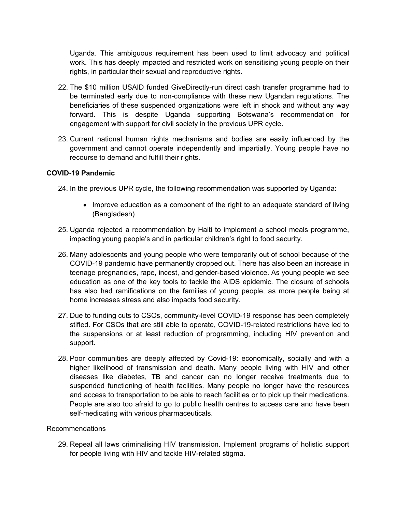Uganda. This ambiguous requirement has been used to limit advocacy and political work. This has deeply impacted and restricted work on sensitising young people on their rights, in particular their sexual and reproductive rights.

- 22. The \$10 million USAID funded GiveDirectly-run direct cash transfer programme had to be terminated early due to non-compliance with these new Ugandan regulations. The beneficiaries of these suspended organizations were left in shock and without any way forward. This is despite Uganda supporting Botswana'<sup>s</sup> recommendation for engagement with support for civil society in the previous UPR cycle.
- 23. Current national human rights mechanisms and bodies are easily influenced by the government and cannot operate independently and impartially. Young people have no recourse to demand and fulfill their rights.

## **COVID-19 Pandemic**

24. In the previous UPR cycle, the following recommendation was supported by Uganda:

- Improve education as a component of the right to an adequate standard of living (Bangladesh)
- 25. Uganda rejected <sup>a</sup> recommendation by Haiti to implement <sup>a</sup> school meals programme, impacting young people'<sup>s</sup> and in particular children'<sup>s</sup> right to food security.
- 26. Many adolescents and young people who were temporarily out of school because of the COVID-19 pandemic have permanently dropped out. There has also been an increase in teenage pregnancies, rape, incest, and gender-based violence. As young people we see education as one of the key tools to tackle the AIDS epidemic. The closure of schools has also had ramifications on the families of young people, as more people being at home increases stress and also impacts food security.
- 27. Due to funding cuts to CSOs, community-level COVID-19 response has been completely stifled. For CSOs that are still able to operate, COVID-19-related restrictions have led to the suspensions or at least reduction of programming, including HIV prevention and support.
- 28. Poor communities are deeply affected by Covid-19: economically, socially and with <sup>a</sup> higher likelihood of transmission and death. Many people living with HIV and other diseases like diabetes, TB and cancer can no longer receive treatments due to suspended functioning of health facilities. Many people no longer have the resources and access to transportation to be able to reach facilities or to pick up their medications. People are also too afraid to go to public health centres to access care and have been self-medicating with various pharmaceuticals.

#### Recommendations

29. Repeal all laws criminalising HIV transmission. Implement programs of holistic support for people living with HIV and tackle HIV-related stigma.